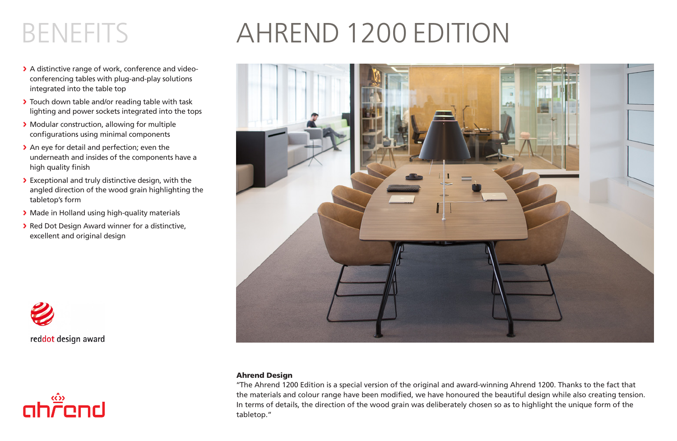# BENEFITS AHREND 1200 EDITION

- > A distinctive range of work, conference and videoconferencing tables with plug-and-play solutions integrated into the table top
- > Touch down table and/or reading table with task lighting and power sockets integrated into the tops
- > Modular construction, allowing for multiple configurations using minimal components
- > An eye for detail and perfection; even the underneath and insides of the components have a high quality finish
- > Exceptional and truly distinctive design, with the angled direction of the wood grain highlighting the tabletop's form
- > Made in Holland using high-quality materials
- > Red Dot Design Award winner for a distinctive, excellent and original design







### Ahrend Design

''The Ahrend 1200 Edition is a special version of the original and award-winning Ahrend 1200. Thanks to the fact that the materials and colour range have been modified, we have honoured the beautiful design while also creating tension. In terms of details, the direction of the wood grain was deliberately chosen so as to highlight the unique form of the tabletop."